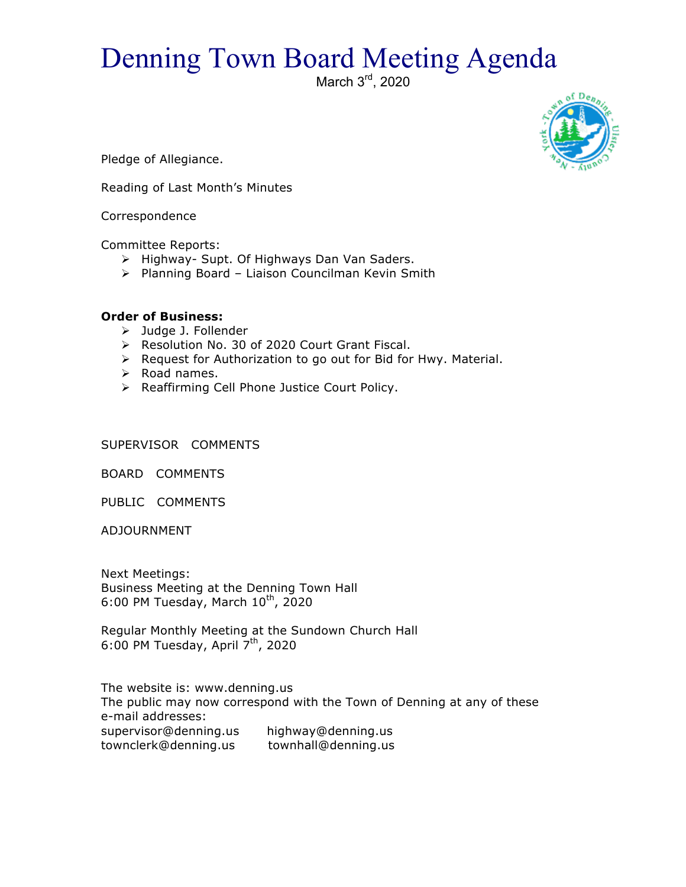## Denning Town Board Meeting Agenda

March 3<sup>rd</sup>, 2020



Pledge of Allegiance.

Reading of Last Month's Minutes

Correspondence

Committee Reports:

- > Highway- Supt. Of Highways Dan Van Saders.
- $\triangleright$  Planning Board Liaison Councilman Kevin Smith

## **Order of Business:**

- > Judge J. Follender
- > Resolution No. 30 of 2020 Court Grant Fiscal.
- $\triangleright$  Request for Authorization to go out for Bid for Hwy. Material.
- $\triangleright$  Road names.
- > Reaffirming Cell Phone Justice Court Policy.

SUPERVISOR COMMENTS

BOARD COMMENTS

PUBLIC COMMENTS

ADJOURNMENT

Next Meetings: Business Meeting at the Denning Town Hall 6:00 PM Tuesday, March  $10^{th}$ , 2020

Regular Monthly Meeting at the Sundown Church Hall 6:00 PM Tuesday, April  $7<sup>th</sup>$ , 2020

The website is: www.denning.us The public may now correspond with the Town of Denning at any of these e-mail addresses: supervisor@denning.us highway@denning.us townclerk@denning.us townhall@denning.us